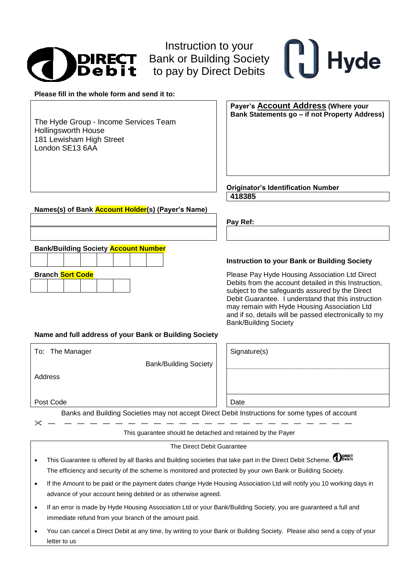

 Instruction to your Bank or Building Society



#### **Please fill in the whole form and send it to:**

The Hyde Group - Income Services Team Hollingsworth House 181 Lewisham High Street London SE13 6AA

## **Payer's Account Address (Where your Bank Statements go – if not Property Address)**

**Originator's Identification Number 418385**

**Pay Ref:**

## **Bank/Building Society Account Number**

**Names(s) of Bank Account Holder(s) (Payer's Name)**

#### **Instruction to your Bank or Building Society**

**Branch Sort Code Please Pay Hyde Housing Association Ltd Direct** Pay Hyde Housing Association Ltd Direct Debits from the account detailed in this Instruction, subject to the safeguards assured by the Direct Debit Guarantee. I understand that this instruction may remain with Hyde Housing Association Ltd and if so, details will be passed electronically to my Bank/Building Society

#### **Name and full address of your Bank or Building Society**

To: The Manager Signature(s)

Bank/Building Society

Post Code and Date and Date and Date and Date and Date and Date and Date and Date and Date and Date and Date and Date and Date and Date and Date and Date and Date and Date and Date and Date and Date and Date and Date and D

Banks and Building Societies may not accept Direct Debit Instructions for some types of account — — — — — — — — — — — — — — — — — — — — — — — —

This guarantee should be detached and retained by the Payer

#### The Direct Debit Guarantee

- This Guarantee is offered by all Banks and Building societies that take part in the Direct Debit Scheme. **ODEALL** The efficiency and security of the scheme is monitored and protected by your own Bank or Building Society.
- If the Amount to be paid or the payment dates change Hyde Housing Association Ltd will notify you 10 working days in advance of your account being debited or as otherwise agreed.
- If an error is made by Hyde Housing Association Ltd or your Bank/Building Society, you are guaranteed a full and immediate refund from your branch of the amount paid.
- You can cancel a Direct Debit at any time, by writing to your Bank or Building Society. Please also send a copy of your letter to us